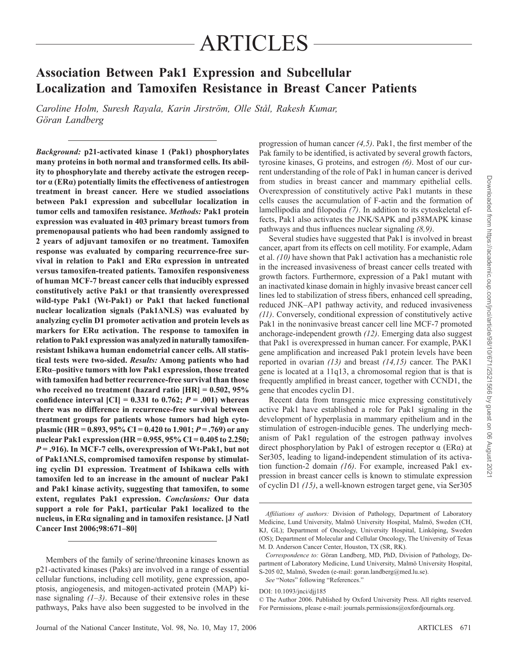# ARTICLES

# **Association Between Pak1 Expression and Subcellular Localization and Tamoxifen Resistance in Breast Cancer Patients**

Caroline Holm, Suresh Rayala, Karin Jirström, Olle Stål, Rakesh Kumar,  *Göran Landberg* 

*Background:* **p21-activated kinase 1 (Pak1) phosphorylates many proteins in both normal and transformed cells. Its ability to phosphorylate and thereby activate the estrogen receptor α (ER α ) potentially limits the effectiveness of antiestrogen treatment in breast cancer. Here we studied associations between Pak1 expression and subcellular localization in tumor cells and tamoxifen resistance.** *Methods:* **Pak1 protein expression was evaluated in 403 primary breast tumors from premenopausal patients who had been randomly assigned to 2 years of adjuvant tamoxifen or no treatment. Tamoxifen response was evaluated by comparing recurrence-free survival in relation to Pak1 and ERa** expression in untreated **versus tamoxifen-treated patients. Tamoxifen responsiveness of human MCF-7 breast cancer cells that inducibly expressed constitutively active Pak1 or that transiently overexpressed wild-type Pak1 (Wt-Pak1) or Pak1 that lacked functional nuclear localization signals (Pak1ΔNLS) was evaluated by analyzing cyclin D1 promoter activation and protein levels as markers for ERa activation. The response to tamoxifen in relation to Pak1 expression was analyzed in naturally tamoxifenresistant Ishikawa human endometrial cancer cells. All statistical tests were two-sided.** *Results:* **Among patients who had ER α – positive tumors with low Pak1 expression, those treated with tamoxifen had better recurrence-free survival than those who received no treatment (hazard ratio [HR] = 0.502, 95% confidence interval [CI] =**  $0.331$  **to**  $0.762$ **;**  $P = .001$ **) whereas there was no difference in recurrence-free survival between treatment groups for patients whose tumors had high cytoplasmic (HR = 0.893, 95% CI = 0.420 to 1.901;**  $P = .769$ **) or any nuclear Pak1 expression(HR = 0.955, 95% CI = 0.405 to 2.250;**  *P* **= .916). In MCF-7 cells, overexpression of Wt-Pak1, but not of Pak1 Δ NLS, compromised tamoxifen response by stimulat**ing cyclin D1 expression. Treatment of Ishikawa cells with **tamoxifen led to an increase in the amount of nuclear Pak1**  and Pak1 kinase activity, suggesting that tamoxifen, to some **extent, regulates Pak1 expression.** *Conclusions:* **Our data support a role for Pak1, particular Pak1 localized to the nucleus, in ER α signaling and in tamoxifen resistance. [J Natl Cancer Inst 2006;98:671 – 80]** 

 Members of the family of serine/threonine kinases known as p21-activated kinases (Paks) are involved in a range of essential cellular functions, including cell motility, gene expression, apoptosis, angiogenesis, and mitogen-activated protein (MAP) ki nase signaling  $(1-3)$ . Because of their extensive roles in these pathways, Paks have also been suggested to be involved in the

progression of human cancer (4,5). Pak1, the first member of the Pak family to be identified, is activated by several growth factors, tyrosine kinases, G proteins, and estrogen  $(6)$ . Most of our current understanding of the role of Pak1 in human cancer is derived from studies in breast cancer and mammary epithelial cells. Overexpression of constitutively active Pak1 mutants in these cells causes the accumulation of F-actin and the formation of lamellipodia and filopodia  $(7)$ . In addition to its cytoskeletal effects, Pak1 also activates the JNK/SAPK and p38MAPK kinase pathways and thus influences nuclear signaling  $(8, 9)$ .

 Several studies have suggested that Pak1 is involved in breast cancer, apart from its effects on cell motility. For example, Adam et al. *( 10 )* have shown that Pak1 activation has a mechanistic role in the increased invasiveness of breast cancer cells treated with growth factors. Furthermore, expression of a Pak1 mutant with an inactivated kinase domain in highly invasive breast cancer cell lines led to stabilization of stress fibers, enhanced cell spreading, reduced JNK – AP1 pathway activity, and reduced invasiveness *( 11 )* . Conversely, conditional expression of constitutively active Pak1 in the noninvasive breast cancer cell line MCF-7 promoted anchorage-independent growth *(12)*. Emerging data also suggest that Pak1 is overexpressed in human cancer. For example, PAK1 gene amplification and increased Pak1 protein levels have been reported in ovarian (13) and breast (14,15) cancer. The PAK1 gene is located at a 11q13, a chromosomal region that is that is frequently amplified in breast cancer, together with CCND1, the gene that encodes cyclin D1.

 Recent data from transgenic mice expressing constitutively active Pak1 have established a role for Pak1 signaling in the development of hyperplasia in mammary epithelium and in the stimulation of estrogen-inducible genes. The underlying mechanism of Pak1 regulation of the estrogen pathway involves direct phosphorylation by Pak1 of estrogen receptor  $\alpha$  (ER $\alpha$ ) at Ser305, leading to ligand-independent stimulation of its activation function-2 domain *(16)*. For example, increased Pak1 expression in breast cancer cells is known to stimulate expression of cyclin D1 *( 15 )* , a well-known estrogen target gene, via Ser305

See "Notes" following "References."

DOI: 10.1093/jnci/djj185

 © The Author 2006. Published by Oxford University Press. All rights reserved. For Permissions, please e-mail: journals.permissions@oxfordjournals.org.

*Affi liations of authors:* Division of Pathology, Department of Laboratory Medicine, Lund University, Malmö University Hospital, Malmö, Sweden (CH, KJ, GL); Department of Oncology, University Hospital, Linköping, Sweden (OS); Department of Molecular and Cellular Oncology, The University of Texas M. D. Anderson Cancer Center, Houston, TX (SR, RK).

*Correspondence to:* Göran Landberg, MD, PhD, Division of Pathology, Department of Laboratory Medicine, Lund University, Malmö University Hospital, S-205 02, Malmö, Sweden (e-mail: goran.landberg@med.lu.se).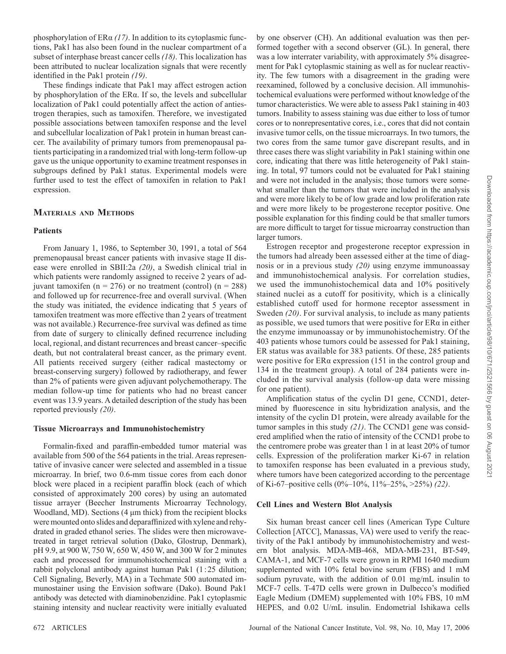phosphorylation of ERα (17). In addition to its cytoplasmic functions, Pak1 has also been found in the nuclear compartment of a subset of interphase breast cancer cells *( 18 )* . This localization has been attributed to nuclear localization signals that were recently identified in the Pak1 protein (19).

These findings indicate that Pak1 may affect estrogen action by phosphorylation of the ERα. If so, the levels and subcellular localization of Pak1 could potentially affect the action of antiestrogen therapies, such as tamoxifen. Therefore, we investigated possible associations between tamoxifen response and the level and subcellular localization of Pak1 protein in human breast cancer. The availability of primary tumors from premenopausal patients participating in a randomized trial with long-term follow-up gave us the unique opportunity to examine treatment responses in subgroups defined by Pak1 status. Experimental models were further used to test the effect of tamoxifen in relation to Pak1 expression.

# **M ATERIALS AND M ETHODS**

#### **Patients**

 From January 1, 1986, to September 30, 1991, a total of 564 premenopausal breast cancer patients with invasive stage II disease were enrolled in SBII:2a *(20)* , a Swedish clinical trial in which patients were randomly assigned to receive 2 years of adjuvant tamoxifen (n = 276) or no treatment (control) (n = 288) and followed up for recurrence-free and overall survival. (When the study was initiated, the evidence indicating that 5 years of tamoxifen treatment was more effective than 2 years of treatment was not available.) Recurrence-free survival was defined as time from date of surgery to clinically defined recurrence including local, regional, and distant recurrences and breast cancer-specific death, but not contralateral breast cancer, as the primary event. All patients received surgery (either radical mastectomy or breast-conserving surgery) followed by radiotherapy, and fewer than 2% of patients were given adjuvant polychemotherapy. The median follow-up time for patients who had no breast cancer event was 13.9 years. A detailed description of the study has been reported previously  $(20)$ .

#### **Tissue Microarrays and Immunohistochemistry**

Formalin-fixed and paraffin-embedded tumor material was available from 500 of the 564 patients in the trial. Areas representative of invasive cancer were selected and assembled in a tissue microarray. In brief, two 0.6-mm tissue cores from each donor block were placed in a recipient paraffin block (each of which consisted of approximately 200 cores) by using an automated tissue arrayer (Beecher Instruments Microarray Technology, Woodland, MD). Sections  $(4 \mu m)$  thick) from the recipient blocks were mounted onto slides and deparaffinized with xylene and rehy drated in graded ethanol series. The slides were then microwavetreated in target retrieval solution (Dako, Glostrup, Denmark), pH 9.9, at 900 W, 750 W, 650 W, 450 W, and 300 W for 2 minutes each and processed for immunohistochemical staining with a rabbit polyclonal antibody against human Pak1 (1:25 dilution; Cell Signaling, Beverly, MA) in a Techmate 500 automated immunostainer using the Envision software (Dako). Bound Pak1 antibody was detected with diaminobenzidine. Pak1 cytoplasmic staining intensity and nuclear reactivity were initially evaluated

by one observer (CH). An additional evaluation was then performed together with a second observer (GL). In general, there was a low interrater variability, with approximately 5% disagreement for Pak1 cytoplasmic staining as well as for nuclear reactivity. The few tumors with a disagreement in the grading were reexamined, followed by a conclusive decision. All immunohistochemical evaluations were performed without knowledge of the tumor characteristics. We were able to assess Pak1 staining in 403 tumors. Inability to assess staining was due either to loss of tumor cores or to nonrepresentative cores, i.e., cores that did not contain invasive tumor cells, on the tissue microarrays. In two tumors, the two cores from the same tumor gave discrepant results, and in three cases there was slight variability in Pak1 staining within one core, indicating that there was little heterogeneity of Pak1 staining. In total, 97 tumors could not be evaluated for Pak1 staining and were not included in the analysis; those tumors were somewhat smaller than the tumors that were included in the analysis and were more likely to be of low grade and low proliferation rate and were more likely to be progesterone receptor positive. One possible explanation for this finding could be that smaller tumors are more difficult to target for tissue microarray construction than larger tumors.

 Estrogen receptor and progesterone receptor expression in the tumors had already been assessed either at the time of diagnosis or in a previous study (20) using enzyme immunoassay and immunohistochemical analysis. For correlation studies, we used the immunohistochemical data and 10% positively stained nuclei as a cutoff for positivity, which is a clinically established cutoff used for hormone receptor assessment in Sweden (20). For survival analysis, to include as many patients as possible, we used tumors that were positive for  $ER\alpha$  in either the enzyme immunoassay or by immunohistochemistry. Of the 403 patients whose tumors could be assessed for Pak1 staining, ER status was available for 383 patients. Of these, 285 patients were positive for  $ER\alpha$  expression (151 in the control group and 134 in the treatment group). A total of 284 patients were included in the survival analysis (follow-up data were missing for one patient).

Amplification status of the cyclin D1 gene, CCND1, determined by fluorescence in situ hybridization analysis, and the intensity of the cyclin D1 protein, were already available for the tumor samples in this study (21). The CCND1 gene was considered amplified when the ratio of intensity of the CCND1 probe to the centromere probe was greater than 1 in at least 20% of tumor cells. Expression of the proliferation marker Ki-67 in relation to tamoxifen response has been evaluated in a previous study, where tumors have been categorized according to the percentage of Ki-67 – positive cells (0% – 10%, 11% – 25%, >25%) *( 22 )* .

# **Cell Lines and Western Blot Analysis**

 Six human breast cancer cell lines (American Type Culture Collection [ATCC], Manassas, VA) were used to verify the reactivity of the Pak1 antibody by immunohistochemistry and western blot analysis. MDA-MB-468, MDA-MB-231, BT-549, CAMA-1, and MCF-7 cells were grown in RPMI 1640 medium supplemented with 10% fetal bovine serum (FBS) and 1 mM sodium pyruvate, with the addition of 0.01 mg/mL insulin to MCF-7 cells. T-47D cells were grown in Dulbecco's modified Eagle Medium (DMEM) supplemented with 10% FBS, 10 mM HEPES, and 0.02 U/mL insulin. Endometrial Ishikawa cells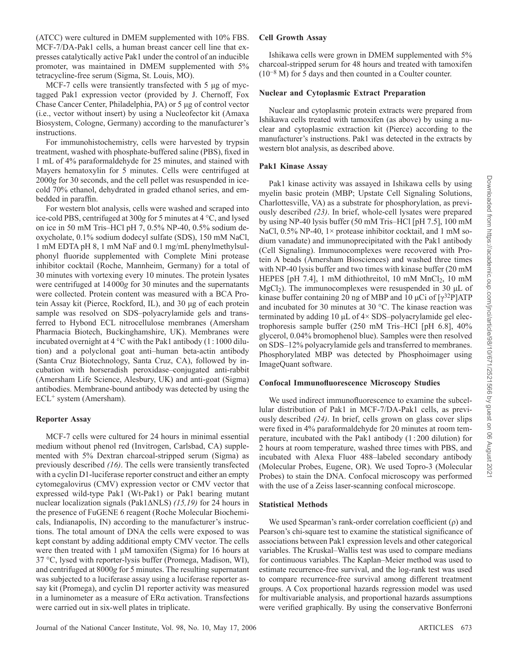(ATCC) were cultured in DMEM supplemented with 10% FBS. MCF-7/DA-Pak1 cells, a human breast cancer cell line that expresses catalytically active Pak1 under the control of an inducible promoter, was maintained in DMEM supplemented with 5% tetracycline-free serum (Sigma, St. Louis, MO).

MCF-7 cells were transiently transfected with 5 μg of myctagged Pak1 expression vector (provided by J. Chernoff, Fox Chase Cancer Center, Philadelphia, PA) or 5 μg of control vector (i.e., vector without insert) by using a Nucleofector kit (Amaxa Biosystem, Cologne, Germany) according to the manufacturer's instructions.

 For immunohistochemistry, cells were harvested by trypsin treatment, washed with phosphate-buffered saline (PBS), fixed in 1 mL of 4% paraformaldehyde for 25 minutes, and stained with Mayers hematoxylin for 5 minutes. Cells were centrifuged at 2000g for 30 seconds, and the cell pellet was resuspended in icecold 70% ethanol, dehydrated in graded ethanol series, and embedded in paraffin.

 For western blot analysis, cells were washed and scraped into ice-cold PBS, centrifuged at 300g for 5 minutes at 4 °C, and lysed on ice in 50 mM Tris-HCl pH 7, 0.5% NP-40, 0.5% sodium deoxycholate, 0.1% sodium dodecyl sulfate (SDS), 150 mM NaCl, 1 mM EDTA pH 8, 1 mM NaF and 0.1 mg/mL phenylmethylsulphonyl fluoride supplemented with Complete Mini protease inhibitor cocktail (Roche, Mannheim, Germany) for a total of 30 minutes with vortexing every 10 minutes. The protein lysates were centrifuged at 14000g for 30 minutes and the supernatants were collected. Protein content was measured with a BCA Protein Assay kit (Pierce, Rockford, IL), and 30 μg of each protein sample was resolved on SDS-polyacrylamide gels and transferred to Hybond ECL nitrocellulose membranes (Amersham Pharmacia Biotech, Buckinghamshire, UK). Membranes were incubated overnight at  $4^{\circ}$ C with the Pak1 antibody (1:1000 dilution) and a polyclonal goat anti-human beta-actin antibody (Santa Cruz Biotechnology, Santa Cruz, CA), followed by incubation with horseradish peroxidase-conjugated anti-rabbit (Amersham Life Science, Alesbury, UK) and anti-goat (Sigma) antibodies. Membrane-bound antibody was detected by using the  $ECL<sup>+</sup> system (Amersham).$ 

# **Reporter Assay**

 MCF-7 cells were cultured for 24 hours in minimal essential medium without phenol red (Invitrogen, Carlsbad, CA) supplemented with 5% Dextran charcoal-stripped serum (Sigma) as previously described *(16)*. The cells were transiently transfected with a cyclin D1-luciferase reporter construct and either an empty cytomegalovirus (CMV) expression vector or CMV vector that expressed wild-type Pak1 (Wt-Pak1) or Pak1 bearing mutant nuclear localization signals (Pak1ΔNLS) (15,19) for 24 hours in the presence of FuGENE 6 reagent (Roche Molecular Biochemicals, Indianapolis, IN) according to the manufacturer's instructions. The total amount of DNA the cells were exposed to was kept constant by adding additional empty CMV vector. The cells were then treated with 1  $\mu$ M tamoxifen (Sigma) for 16 hours at 37 °C, lysed with reporter-lysis buffer (Promega, Madison, WI), and centrifuged at 8000g for 5 minutes. The resulting supernatant was subjected to a luciferase assay using a luciferase reporter assay kit (Promega), and cyclin D1 reporter activity was measured in a luminometer as a measure of  $ER\alpha$  activation. Transfections were carried out in six-well plates in triplicate.

# **Cell Growth Assay**

 Ishikawa cells were grown in DMEM supplemented with 5% charcoal-stripped serum for 48 hours and treated with tamoxifen  $(10^{-8}$  M) for 5 days and then counted in a Coulter counter.

#### **Nuclear and Cytoplasmic Extract Preparation**

 Nuclear and cytoplasmic protein extracts were prepared from Ishikawa cells treated with tamoxifen (as above) by using a nuclear and cytoplasmic extraction kit (Pierce) according to the manufacturer's instructions. Pak1 was detected in the extracts by western blot analysis, as described above.

# **Pak1 Kinase Assay**

 Pak1 kinase activity was assayed in Ishikawa cells by using myelin basic protein (MBP; Upstate Cell Signaling Solutions, Charlottesville, VA) as a substrate for phosphorylation, as previously described (23). In brief, whole-cell lysates were prepared by using NP-40 lysis buffer (50 mM Tris-HCl [pH 7.5], 100 mM NaCl,  $0.5\%$  NP-40,  $1\times$  protease inhibitor cocktail, and 1 mM sodium vanadate) and immunoprecipitated with the Pak1 antibody (Cell Signaling). Immunocomplexes were recovered with Protein A beads (Amersham Biosciences) and washed three times with NP-40 lysis buffer and two times with kinase buffer (20 mM HEPES [pH  $7.4$ ], 1 mM dithiothreitol, 10 mM MnCl<sub>2</sub>, 10 mM  $MgCl<sub>2</sub>$ ). The immunocomplexes were resuspended in 30  $\mu$ L of kinase buffer containing 20 ng of MBP and 10  $\mu$ Ci of [ $\gamma^{32}P$ ]ATP and incubated for 30 minutes at 30 °C. The kinase reaction was terminated by adding 10  $\mu$ L of 4× SDS-polyacrylamide gel electrophoresis sample buffer (250 mM Tris-HCl [pH 6.8], 40% glycerol, 0.04% bromophenol blue). Samples were then resolved on SDS-12% polyacrylamide gels and transferred to membranes. Phosphorylated MBP was detected by Phosphoimager using ImageQuant software.

#### **Confocal Immunofl uorescence Microscopy Studies**

We used indirect immunofluorescence to examine the subcellular distribution of Pak1 in MCF-7/DA-Pak1 cells, as previously described (24). In brief, cells grown on glass cover slips were fixed in 4% paraformaldehyde for 20 minutes at room temperature, incubated with the Pak1 antibody (1 : 200 dilution) for 2 hours at room temperature, washed three times with PBS, and incubated with Alexa Fluor 488–labeled secondary antibody (Molecular Probes, Eugene, OR). We used Topro-3 (Molecular Probes) to stain the DNA. Confocal microscopy was performed with the use of a Zeiss laser-scanning confocal microscope.

# **Statistical Methods**

We used Spearman's rank-order correlation coefficient  $(\rho)$  and Pearson's chi-square test to examine the statistical significance of associations between Pak1 expression levels and other categorical variables. The Kruskal–Wallis test was used to compare medians for continuous variables. The Kaplan–Meier method was used to estimate recurrence-free survival, and the log-rank test was used to compare recurrence-free survival among different treatment groups. A Cox proportional hazards regression model was used for multivariable analysis, and proportional hazards assumptions were verified graphically. By using the conservative Bonferroni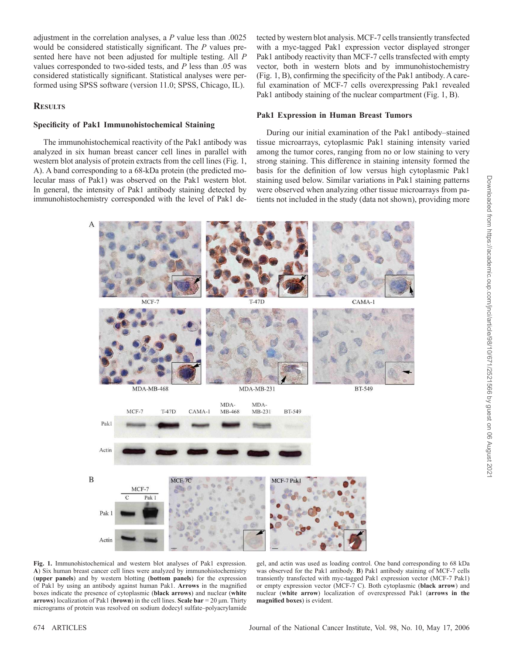adjustment in the correlation analyses, a *P* value less than .0025 would be considered statistically significant. The *P* values presented here have not been adjusted for multiple testing. All *P* values corresponded to two-sided tests, and *P* less than .05 was considered statistically significant. Statistical analyses were performed using SPSS software (version 11.0; SPSS, Chicago, IL).

# **R ESULTS**

### **Specifi city of Pak1 Immunohistochemical Staining**

 The immunohistochemical reactivity of the Pak1 antibody was analyzed in six human breast cancer cell lines in parallel with western blot analysis of protein extracts from the cell lines (Fig. 1, A ). A band corresponding to a 68-kDa protein (the predicted molecular mass of Pak1) was observed on the Pak1 western blot. In general, the intensity of Pak1 antibody staining detected by immunohistochemistry corresponded with the level of Pak1 detected by western blot analysis. MCF-7 cells transiently transfected with a myc-tagged Pak1 expression vector displayed stronger Pak1 antibody reactivity than MCF-7 cells transfected with empty vector, both in western blots and by immunohistochemistry  $(Fig. 1, B)$ , confirming the specificity of the Pak1 antibody. A careful examination of MCF-7 cells overexpressing Pak1 revealed Pak1 antibody staining of the nuclear compartment (Fig. 1, B).

#### **Pak1 Expression in Human Breast Tumors**

During our initial examination of the Pak1 antibody–stained tissue microarrays, cytoplasmic Pak1 staining intensity varied among the tumor cores, ranging from no or low staining to very strong staining. This difference in staining intensity formed the basis for the definition of low versus high cytoplasmic Pak1 staining used below. Similar variations in Pak1 staining patterns were observed when analyzing other tissue microarrays from patients not included in the study (data not shown), providing more



gel, and actin was used as loading control. One band corresponding to 68 kDa was observed for the Pak1 antibody. **B**) Pak1 antibody staining of MCF-7 cells transiently transfected with myc-tagged Pak1 expression vector (MCF-7 Pak1) or empty expression vector (MCF-7 C). Both cytoplasmic ( **black arrow** ) and nuclear ( **white arrow** ) localization of overexpressed Pak1 ( **arrows in the magnified boxes**) is evident.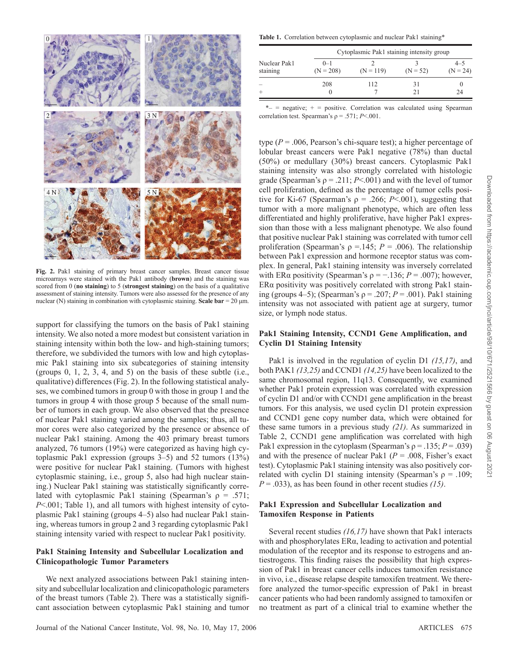

**Fig. 2.** Pak1 staining of primary breast cancer samples. Breast cancer tissue microarrays were stained with the Pak1 antibody (**brown**) and the staining was scored from 0 ( **no staining** ) to 5 ( **strongest staining** ) on the basis of a qualitative assessment of staining intensity. Tumors were also assessed for the presence of any nuclear (N) staining in combination with cytoplasmic staining. **Scale bar** = 20  $\mu$ m.

support for classifying the tumors on the basis of Pak1 staining intensity. We also noted a more modest but consistent variation in staining intensity within both the low- and high-staining tumors; therefore, we subdivided the tumors with low and high cytoplasmic Pak1 staining into six subcategories of staining intensity (groups  $0, 1, 2, 3, 4,$  and  $5$ ) on the basis of these subtle (i.e., qualitative) differences (Fig. 2). In the following statistical analyses, we combined tumors in group 0 with those in group 1 and the tumors in group 4 with those group 5 because of the small number of tumors in each group. We also observed that the presence of nuclear Pak1 staining varied among the samples; thus, all tumor cores were also categorized by the presence or absence of nuclear Pak1 staining. Among the 403 primary breast tumors analyzed, 76 tumors (19%) were categorized as having high cytoplasmic Pak1 expression (groups  $3-5$ ) and  $52$  tumors (13%) were positive for nuclear Pak1 staining. (Tumors with highest cytoplasmic staining, i.e., group 5, also had high nuclear staining.) Nuclear Pak1 staining was statistically significantly correlated with cytoplasmic Pak1 staining (Spearman's  $\rho = .571$ ;  $P \leq 0.001$ ; Table 1), and all tumors with highest intensity of cytoplasmic Pak1 staining (groups 4–5) also had nuclear Pak1 staining, whereas tumors in group 2 and 3 regarding cytoplasmic Pak1 staining intensity varied with respect to nuclear Pak1 positivity.

### **Pak1 Staining Intensity and Subcellular Localization and Clinicopathologic Tumor Parameters**

 We next analyzed associations between Pak1 staining intensity and subcellular localization and clinicopathologic parameters of the breast tumors (Table 2). There was a statistically significant association between cytoplasmic Pak1 staining and tumor

Table 1. Correlation between cytoplasmic and nuclear Pak1 staining\*

|                          |                        | Cytoplasmic Pak1 staining intensity group |            |                       |  |  |  |  |
|--------------------------|------------------------|-------------------------------------------|------------|-----------------------|--|--|--|--|
| Nuclear Pak1<br>staining | $0 - 1$<br>$(N = 208)$ | $(N = 119)$                               | $(N = 52)$ | $4 - 5$<br>$(N = 24)$ |  |  |  |  |
|                          | 208                    | 112                                       | 31         | 24                    |  |  |  |  |

 $*$  = negative;  $+$  = positive. Correlation was calculated using Spearman correlation test. Spearman's  $\rho = .571$ ; *P* <.001.

type ( $P = 0.006$ , Pearson's chi-square test); a higher percentage of lobular breast cancers were Pak1 negative (78%) than ductal (50%) or medullary (30%) breast cancers. Cytoplasmic Pak1 staining intensity was also strongly correlated with histologic grade (Spearman's  $\rho = .211$ ; *P* < 001) and with the level of tumor cell proliferation, defined as the percentage of tumor cells positive for Ki-67 (Spearman's  $\rho = .266$ ; *P* < 001), suggesting that tumor with a more malignant phenotype, which are often less differentiated and highly proliferative, have higher Pak1 expression than those with a less malignant phenotype. We also found that positive nuclear Pak1 staining was correlated with tumor cell proliferation (Spearman's  $\rho = 145$ ;  $P = .006$ ). The relationship between Pak1 expression and hormone receptor status was complex. In general, Pak1 staining intensity was inversely correlated with ER $\alpha$  positivity (Spearman's  $\rho = -136$ ;  $P = .007$ ); however, ER α positivity was positively correlated with strong Pak1 staining (groups 4–5); (Spearman's  $\rho$  = .207;  $P$  = .001). Pak1 staining intensity was not associated with patient age at surgery, tumor size, or lymph node status.

# Pak1 Staining Intensity, CCND1 Gene Amplification, and **Cyclin D1 Staining Intensity**

Pak1 is involved in the regulation of cyclin D1 (15,17), and both PAK1 *( 13 , 25 )* and CCND1 *( 14 , 25 )* have been localized to the same chromosomal region, 11q13. Consequently, we examined whether Pak1 protein expression was correlated with expression of cyclin D1 and/or with CCND1 gene amplification in the breast tumors. For this analysis, we used cyclin D1 protein expression and CCND1 gene copy number data, which were obtained for these same tumors in a previous study (21). As summarized in Table 2, CCND1 gene amplification was correlated with high Pak1 expression in the cytoplasm (Spearman's  $\rho = .135$ ;  $P = .039$ ) and with the presence of nuclear Pak1 ( $P = .008$ , Fisher's exact test). Cytoplasmic Pak1 staining intensity was also positively correlated with cyclin D1 staining intensity (Spearman's  $\rho = .109$ ;  $P = .033$ , as has been found in other recent studies *(15)*.

### **Pak1 Expression and Subcellular Localization and Tamoxifen Response in Patients**

Several recent studies *(16,17)* have shown that Pak1 interacts with and phosphorylates  $ER\alpha$ , leading to activation and potential modulation of the receptor and its response to estrogens and antiestrogens. This finding raises the possibility that high expression of Pak1 in breast cancer cells induces tamoxifen resistance in vivo, i.e., disease relapse despite tamoxifen treatment. We therefore analyzed the tumor-specific expression of Pak1 in breast cancer patients who had been randomly assigned to tamoxifen or no treatment as part of a clinical trial to examine whether the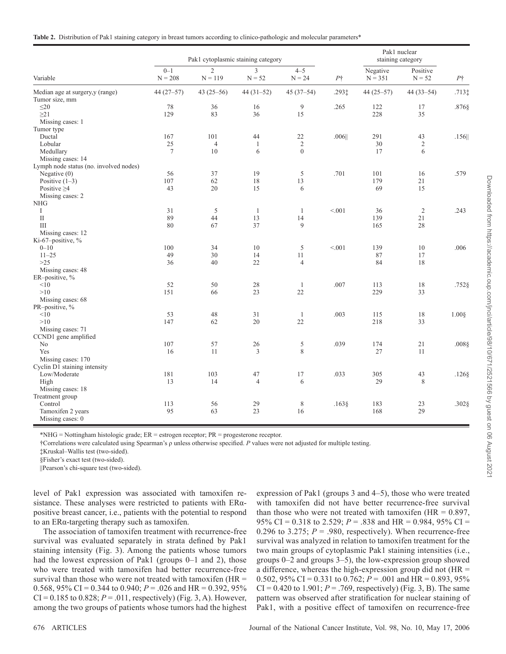|  |  |  |  |  |  | Table 2. Distribution of Pak1 staining category in breast tumors according to clinico-pathologic and molecular parameters* |
|--|--|--|--|--|--|----------------------------------------------------------------------------------------------------------------------------|
|--|--|--|--|--|--|----------------------------------------------------------------------------------------------------------------------------|

| Variable                               | Pak1 cytoplasmic staining category |                             |                            |                     |            | Pak1 nuclear<br>staining category |                      |            |
|----------------------------------------|------------------------------------|-----------------------------|----------------------------|---------------------|------------|-----------------------------------|----------------------|------------|
|                                        | $0 - 1$<br>$N = 208$               | $\overline{2}$<br>$N = 119$ | $\overline{3}$<br>$N = 52$ | $4 - 5$<br>$N = 24$ | $P\dagger$ | Negative<br>$N = 351$             | Positive<br>$N = 52$ | $P\dagger$ |
| Median age at surgery,y (range)        | $44(27-57)$                        | 43 $(25-56)$                | $44(31-52)$                | $45(37-54)$         | .2931      | $44(25-57)$                       | $44(33-54)$          | $.713$ ‡   |
| Tumor size, mm                         |                                    |                             |                            |                     |            |                                   |                      |            |
| $\leq$ 20                              | 78                                 | 36                          | 16                         | 9                   | .265       | 122                               | 17                   | .876§      |
| $\geq$ 21                              | 129                                | 83                          | 36                         | 15                  |            | 228                               | 35                   |            |
| Missing cases: 1                       |                                    |                             |                            |                     |            |                                   |                      |            |
| Tumor type                             |                                    |                             |                            |                     |            |                                   |                      |            |
| Ductal                                 | 167                                | 101                         | 44                         | 22                  | .006       | 291                               | 43                   | $.156$     |
| Lobular                                | $25\,$                             | $\sqrt{4}$                  | $\mathbf{1}$               | $\sqrt{2}$          |            | 30                                | $\sqrt{2}$           |            |
| Medullary                              | $\overline{7}$                     | 10                          | 6                          | $\overline{0}$      |            | 17                                | 6                    |            |
| Missing cases: 14                      |                                    |                             |                            |                     |            |                                   |                      |            |
| Lymph node status (no. involved nodes) |                                    |                             |                            |                     |            |                                   |                      |            |
| Negative $(0)$                         | 56                                 | 37                          | 19                         | 5                   | .701       | 101                               | 16                   | .579       |
| Positive $(1-3)$                       | 107                                | 62                          | $18\,$                     | 13                  |            | 179                               | 21                   |            |
| Positive $\geq$ 4                      | 43                                 | 20                          | 15                         | 6                   |            | 69                                | 15                   |            |
| Missing cases: 2                       |                                    |                             |                            |                     |            |                                   |                      |            |
| <b>NHG</b>                             |                                    |                             |                            |                     |            |                                   |                      |            |
| $\bf{I}$                               | 31                                 | $\sqrt{5}$                  | $\mathbf{1}$               | $\mathbf{1}$        | < 0.01     | 36                                | $\overline{2}$       | .243       |
| $\mathbf{I}$                           | 89                                 | 44                          | 13                         | 14                  |            | 139                               | 21                   |            |
| III                                    | 80                                 | 67                          | 37                         | 9                   |            | 165                               | 28                   |            |
| Missing cases: 12                      |                                    |                             |                            |                     |            |                                   |                      |            |
| Ki-67-positive, %                      |                                    |                             |                            |                     |            |                                   |                      |            |
| $0 - 10$                               | 100                                | 34                          | 10                         | 5                   | < 0.01     | 139                               | 10                   | .006       |
| $11 - 25$                              | 49                                 | 30                          | 14                         | 11                  |            | 87                                | 17                   |            |
| $>25$                                  | 36                                 | 40                          | 22                         | $\overline{4}$      |            | 84                                | 18                   |            |
| Missing cases: 48                      |                                    |                             |                            |                     |            |                                   |                      |            |
| ER-positive, %                         |                                    |                             |                            |                     |            |                                   |                      |            |
| <10                                    | 52                                 | 50                          | $28\,$                     | $\mathbf{1}$        | .007       | 113                               | $18\,$               | $.752$ §   |
| >10                                    | 151                                | 66                          | 23                         | $22\,$              |            | 229                               | 33                   |            |
| Missing cases: 68                      |                                    |                             |                            |                     |            |                                   |                      |            |
| PR-positive, %                         |                                    |                             |                            |                     |            |                                   |                      |            |
| <10                                    | 53                                 | 48                          | 31                         | 1                   | .003       | 115                               | 18                   | $1.00$ §   |
| >10                                    | 147                                | 62                          | 20                         | 22                  |            | 218                               | 33                   |            |
| Missing cases: 71                      |                                    |                             |                            |                     |            |                                   |                      |            |
| CCND1 gene amplified                   |                                    |                             |                            |                     |            |                                   |                      |            |
| No                                     | 107                                | 57                          | 26                         | $\sqrt{5}$          | .039       | 174                               | 21                   | $.008$ \$  |
| Yes                                    | 16                                 | 11                          | 3                          | 8                   |            | 27                                | 11                   |            |
| Missing cases: 170                     |                                    |                             |                            |                     |            |                                   |                      |            |
| Cyclin D1 staining intensity           |                                    |                             |                            |                     |            |                                   |                      |            |
| Low/Moderate                           | 181                                | 103                         | 47                         | 17                  | .033       | 305                               | 43                   | .126§      |
| High                                   | 13                                 | 14                          | $\overline{4}$             | 6                   |            | 29                                | 8                    |            |
| Missing cases: 18                      |                                    |                             |                            |                     |            |                                   |                      |            |
| Treatment group                        |                                    |                             |                            |                     |            |                                   |                      |            |
| Control                                | 113                                | 56                          | 29                         | $\,$ 8 $\,$         | .163       | 183                               | 23                   | .302§      |
| Tamoxifen 2 years                      | 95                                 | 63                          | 23                         | 16                  |            | 168                               | 29                   |            |
| Missing cases: 0                       |                                    |                             |                            |                     |            |                                   |                      |            |

\* NHG = Nottingham histologic grade; ER = estrogen receptor; PR = progesterone receptor.

† Correlations were calculated using Spearman's ρ unless otherwise specified. *P* values were not adjusted for multiple testing.

‡ Kruskal – Wallis test (two-sided).

§ Fisher's exact test (two-sided).

|| Pearson's chi-square test (two-sided).

level of Pak1 expression was associated with tamoxifen resistance. These analyses were restricted to patients with  $ER\alpha$  positive breast cancer, i.e., patients with the potential to respond to an ERα-targeting therapy such as tamoxifen.

 The association of tamoxifen treatment with recurrence-free survival was evaluated separately in strata defined by Pak1 staining intensity (Fig. 3). Among the patients whose tumors had the lowest expression of Pak1 (groups  $0-1$  and 2), those who were treated with tamoxifen had better recurrence-free survival than those who were not treated with tamoxifen  $(HR =$ 0.568, 95% CI =  $0.344$  to  $0.940$ ;  $P = 0.026$  and HR =  $0.392$ , 95%  $CI = 0.185$  to  $0.828$ ;  $P = .011$ , respectively) (Fig. 3, A). However, among the two groups of patients whose tumors had the highest

expression of Pak1 (groups 3 and 4–5), those who were treated with tamoxifen did not have better recurrence-free survival than those who were not treated with tamoxifen (HR =  $0.897$ , 95% CI = 0.318 to 2.529; *P* = .838 and HR = 0.984, 95% CI = 0.296 to 3.275;  $P = .980$ , respectively). When recurrence-free survival was analyzed in relation to tamoxifen treatment for the two main groups of cytoplasmic Pak1 staining intensities (i.e., groups  $0-2$  and groups  $3-5$ ), the low-expression group showed a difference, whereas the high-expression group did not (HR = 0.502, 95% CI = 0.331 to 0.762;  $P = .001$  and HR = 0.893, 95%  $CI = 0.420$  to 1.901;  $P = .769$ , respectively) (Fig. 3, B). The same pattern was observed after stratification for nuclear staining of Pak1, with a positive effect of tamoxifen on recurrence-free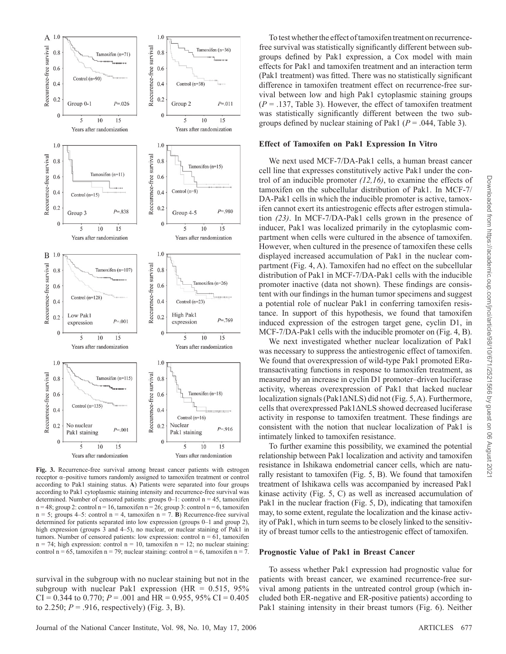

**Fig. 3.** Recurrence-free survival among breast cancer patients with estrogen receptor α-positive tumors randomly assigned to tamoxifen treatment or control according to Pak1 staining status. A) Patients were separated into four groups according to Pak1 cytoplasmic staining intensity and recurrence-free survival was determined. Number of censored patients: groups  $0-1$ : control n = 45, tamoxifen  $n = 48$ ; group 2: control  $n = 16$ , tamoxifen  $n = 26$ ; group 3: control  $n = 6$ , tamoxifen  $n = 5$ ; groups 4–5: control  $n = 4$ , tamoxifen  $n = 7$ . **B**) Recurrence-free survival determined for patients separated into low expression (groups 0-1 and group 2), high expression (groups  $3$  and  $4-5$ ), no nuclear, or nuclear staining of Pak1 in tumors. Number of censored patients: low expression: control  $n = 61$ , tamoxifen  $n = 74$ ; high expression: control  $n = 10$ , tamoxifen  $n = 12$ ; no nuclear staining: control  $n = 65$ , tamoxifen  $n = 79$ ; nuclear staining: control  $n = 6$ , tamoxifen  $n = 7$ .

survival in the subgroup with no nuclear staining but not in the subgroup with nuclear Pak1 expression (HR =  $0.515$ , 95%) CI = 0.344 to 0.770;  $P = 0.01$  and HR = 0.955, 95% CI = 0.405 to 2.250;  $P = .916$ , respectively) (Fig. 3, B).

#### **Effect of Tamoxifen on Pak1 Expression In Vitro**

 We next used MCF-7/DA-Pak1 cells, a human breast cancer cell line that expresses constitutively active Pak1 under the control of an inducible promoter  $(12, 16)$ , to examine the effects of tamoxifen on the subcellular distribution of Pak1. In MCF-7/ DA-Pak1 cells in which the inducible promoter is active, tamoxifen cannot exert its antiestrogenic effects after estrogen stimulation (23). In MCF-7/DA-Pak1 cells grown in the presence of inducer, Pak1 was localized primarily in the cytoplasmic compartment when cells were cultured in the absence of tamoxifen. However, when cultured in the presence of tamoxifen these cells displayed increased accumulation of Pak1 in the nuclear compartment (Fig. 4, A). Tamoxifen had no effect on the subcellular distribution of Pak1 in MCF-7/DA-Pak1 cells with the inducible promoter inactive (data not shown). These findings are consistent with our findings in the human tumor specimens and suggest a potential role of nuclear Pak1 in conferring tamoxifen resistance. In support of this hypothesis, we found that tamoxifen induced expression of the estrogen target gene, cyclin D1, in MCF-7/DA-Pak1 cells with the inducible promoter on (Fig. 4, B).

 We next investigated whether nuclear localization of Pak1 was necessary to suppress the antiestrogenic effect of tamoxifen. We found that overexpression of wild-type Pak1 promoted  $ER\alpha$ transactivating functions in response to tamoxifen treatment, as measured by an increase in cyclin D1 promoter-driven luciferase activity, whereas overexpression of Pak1 that lacked nuclear localization signals (Pak1 $\triangle$ NLS) did not (Fig. 5, A). Furthermore, cells that overexpressed Pak1ΔNLS showed decreased luciferase activity in response to tamoxifen treatment. These findings are consistent with the notion that nuclear localization of Pak1 is intimately linked to tamoxifen resistance.

 To further examine this possibility, we examined the potential relationship between Pak1 localization and activity and tamoxifen resistance in Ishikawa endometrial cancer cells, which are naturally resistant to tamoxifen ( $Fig. 5, B$ ). We found that tamoxifen treatment of Ishikawa cells was accompanied by increased Pak1 kinase activity (Fig. 5, C) as well as increased accumulation of Pak1 in the nuclear fraction (Fig.  $5$ , D), indicating that tamoxifen may, to some extent, regulate the localization and the kinase activity of Pak1, which in turn seems to be closely linked to the sensitivity of breast tumor cells to the antiestrogenic effect of tamoxifen.

#### **Prognostic Value of Pak1 in Breast Cancer**

 To assess whether Pak1 expression had prognostic value for patients with breast cancer, we examined recurrence-free survival among patients in the untreated control group (which included both ER-negative and ER-positive patients) according to Pak1 staining intensity in their breast tumors (Fig. 6). Neither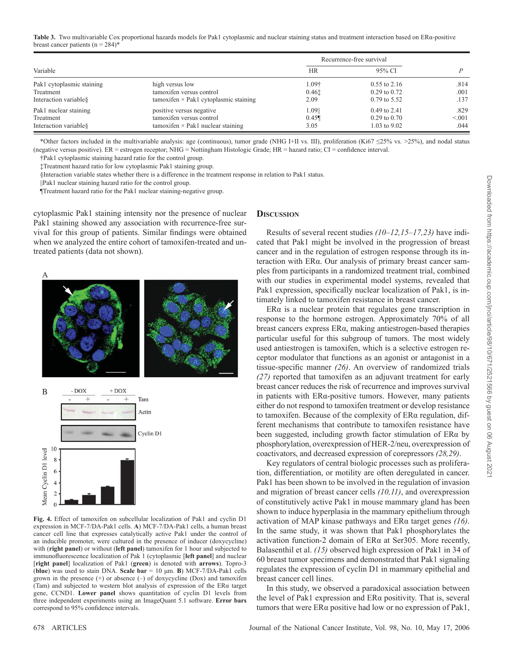Table 3. Two multivariable Cox proportional hazards models for Pak1 cytoplasmic and nuclear staining status and treatment interaction based on ERa-positive breast cancer patients ( $n = 284$ )\*

|                           |                                             | Recurrence-free survival |                  |       |
|---------------------------|---------------------------------------------|--------------------------|------------------|-------|
| Variable                  |                                             | <b>HR</b>                | 95% CI           |       |
| Pak1 cytoplasmic staining | high versus low                             | l.09†                    | $0.55$ to 2.16   | .814  |
| Treatment                 | tamoxifen versus control                    | 0.461                    | $0.29$ to $0.72$ | .001  |
| Interaction variable §    | $tamox$ if $\geq$ Pak1 cytoplasmic staining | 2.09                     | $0.79$ to 5.52   | .137  |
| Pak1 nuclear staining     | positive versus negative                    | 1.0911                   | $0.49$ to 2.41   | .829  |
| Treatment                 | tamoxifen versus control                    | $0.45\P$                 | $0.29$ to $0.70$ | < 001 |
| Interaction variable §    | tamoxifen $\times$ Pak1 nuclear staining    | 3.05                     | $1.03$ to $9.02$ | .044  |

 \* Other factors included in the multivariable analysis: age (continuous), tumor grade (NHG I+II vs. III), proliferation (Ki67 ≤ 25% vs. >25%), and nodal status (negative versus positive). ER = estrogen receptor; NHG = Nottingham Histologic Grade; HR = hazard ratio; CI = confidence interval.

† Pak1 cytoplasmic staining hazard ratio for the control group.

‡ Treatment hazard ratio for low cytoplasmic Pak1 staining group.

§ Interaction variable states whether there is a difference in the treatment response in relation to Pak1 status.

|| Pak1 nuclear staining hazard ratio for the control group.

¶ Treatment hazard ratio for the Pak1 nuclear staining-negative group.

cytoplasmic Pak1 staining intensity nor the presence of nuclear Pak1 staining showed any association with recurrence-free survival for this group of patients. Similar findings were obtained when we analyzed the entire cohort of tamoxifen-treated and untreated patients (data not shown).





**Fig. 4.** Effect of tamoxifen on subcellular localization of Pak1 and cyclin D1 expression in MCF-7/DA-Pak1 cells. **A** ) MCF-7/DA-Pak1 cells, a human breast cancer cell line that expresses catalytically active Pak1 under the control of an inducible promoter, were cultured in the presence of inducer (doxycycline) with (right panel) or without (left panel) tamoxifen for 1 hour and subjected to immunofluorescence localization of Pak 1 (cytoplasmic [left panel] and nuclear [right panel] localization of Pak1 (green) is denoted with arrows). Topro-3 ( $b \ln w$ ) was used to stain DNA. Scale  $bar = 10 \mu m$ . **B**) MCF-7/DA-Pak1 cells grown in the presence  $(+)$  or absence  $(-)$  of doxycycline  $(Dox)$  and tamoxifen (Tam) and subjected to western blot analysis of expression of the  $ER\alpha$  target gene, CCND1. **Lower panel** shows quantitation of cyclin D1 levels from three independent experiments using an ImageQuant 5.1 software. **Error bars** correspond to 95% confidence intervals.

# **DISCUSSION**

Results of several recent studies  $(10-12, 15-17, 23)$  have indicated that Pak1 might be involved in the progression of breast cancer and in the regulation of estrogen response through its interaction with ERα. Our analysis of primary breast cancer samples from participants in a randomized treatment trial, combined with our studies in experimental model systems, revealed that Pak1 expression, specifically nuclear localization of Pak1, is intimately linked to tamoxifen resistance in breast cancer.

ER $\alpha$  is a nuclear protein that regulates gene transcription in response to the hormone estrogen. Approximately 70% of all  $b$ reast cancers express ERα, making antiestrogen-based therapies particular useful for this subgroup of tumors. The most widely used antiestrogen is tamoxifen, which is a selective estrogen receptor modulator that functions as an agonist or antagonist in a tissue-specific manner (26). An overview of randomized trials *( 27 )* reported that tamoxifen as an adjuvant treatment for early breast cancer reduces the risk of recurrence and improves survival in patients with  $ER\alpha$ -positive tumors. However, many patients either do not respond to tamoxifen treatment or develop resistance to tamoxifen. Because of the complexity of ERα regulation, different mechanisms that contribute to tamoxifen resistance have been suggested, including growth factor stimulation of  $ER\alpha$  by phosphorylation, overexpression of HER-2/neu, overexpression of coactivators, and decreased expression of corepressors  $(28, 29)$ .

 Key regulators of central biologic processes such as proliferation, differentiation, or motility are often deregulated in cancer. Pak1 has been shown to be involved in the regulation of invasion and migration of breast cancer cells *(10,11)*, and overexpression of constitutively active Pak1 in mouse mammary gland has been shown to induce hyperplasia in the mammary epithelium through activation of MAP kinase pathways and ER α target genes *( 16 )* . In the same study, it was shown that Pak1 phosphorylates the activation function-2 domain of  $ER\alpha$  at Ser305. More recently, Balasenthil et al. (15) observed high expression of Pak1 in 34 of 60 breast tumor specimens and demonstrated that Pak1 signaling regulates the expression of cyclin D1 in mammary epithelial and breast cancer cell lines.

 In this study, we observed a paradoxical association between the level of Pak1 expression and ERα positivity. That is, several tumors that were  $ER\alpha$  positive had low or no expression of Pak1,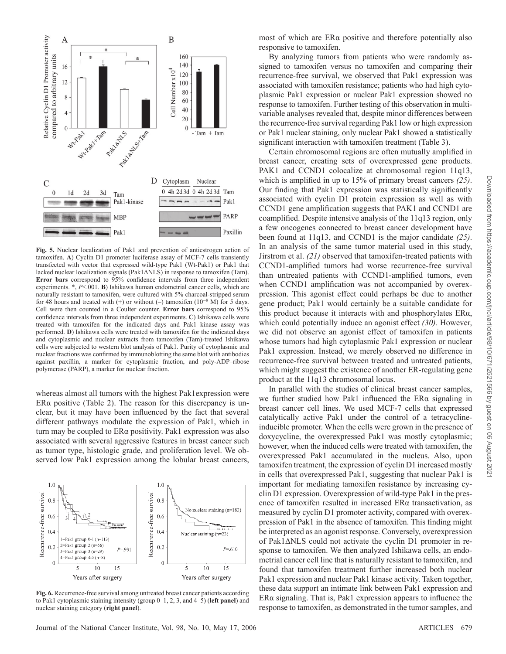

**Fig. 5.** Nuclear localization of Pak1 and prevention of antiestrogen action of tamoxifen. **A**) Cyclin D1 promoter luciferase assay of MCF-7 cells transiently transfected with vector that expressed wild-type Pak1 (Wt-Pak1) or Pak1 that lacked nuclear localization signals ( $\text{Pak1}\Delta\text{NLS}$ ) in response to tamoxifen (Tam). **Error bars** correspond to 95% confidence intervals from three independent experiments. \*,  $P < 001$ . **B**) Ishikawa human endometrial cancer cells, which are naturally resistant to tamoxifen, were cultured with 5% charcoal-stripped serum for 48 hours and treated with  $(+)$  or without  $(-)$  tamoxifen  $(10^{-8}$  M) for 5 days. Cell were then counted in a Coulter counter. **Error bars** correspond to 95% confidence intervals from three independent experiments. **C**) Ishikawa cells were treated with tamoxifen for the indicated days and Pak1 kinase assay was performed. **D**) Ishikawa cells were treated with tamoxifen for the indicated days and cytoplasmic and nuclear extracts from tamoxifen (Tam)-treated Ishikawa cells were subjected to western blot analysis of Pak1. Purity of cytoplasmic and nuclear fractions was confirmed by immunoblotting the same blot with antibodies against paxillin, a marker for cytoplasmic fraction, and poly-ADP-ribose polymerase (PARP), a marker for nuclear fraction.

whereas almost all tumors with the highest Pak1expression were ER $\alpha$  positive (Table 2). The reason for this discrepancy is unclear, but it may have been influenced by the fact that several different pathways modulate the expression of Pak1, which in turn may be coupled to ERα positivity. Pak1 expression was also associated with several aggressive features in breast cancer such as tumor type, histologic grade, and proliferation level. We observed low Pak1 expression among the lobular breast cancers,



**Fig. 6.** Recurrence-free survival among untreated breast cancer patients according to Pak1 cytoplasmic staining intensity (group 0–1, 2, 3, and 4–5) ( **left panel** ) and nuclear staining category ( **right panel** ).

most of which are ERα positive and therefore potentially also responsive to tamoxifen.

 By analyzing tumors from patients who were randomly assigned to tamoxifen versus no tamoxifen and comparing their recurrence-free survival, we observed that Pak1 expression was associated with tamoxifen resistance; patients who had high cytoplasmic Pak1 expression or nuclear Pak1 expression showed no response to tamoxifen. Further testing of this observation in multivariable analyses revealed that, despite minor differences between the recurrence-free survival regarding Pak1 low or high expression or Pak1 nuclear staining, only nuclear Pak1 showed a statistically significant interaction with tamoxifen treatment (Table 3).

Certain chromosomal regions are often mutually amplified in breast cancer, creating sets of overexpressed gene products. PAK1 and CCND1 colocalize at chromosomal region 11q13, which is amplified in up to 15% of primary breast cancers (25). Our finding that Pak1 expression was statistically significantly associated with cyclin D1 protein expression as well as with CCND1 gene amplification suggests that PAK1 and CCND1 are coamplified. Despite intensive analysis of the 11q13 region, only a few oncogenes connected to breast cancer development have been found at 11q13, and CCND1 is the major candidate (25). In an analysis of the same tumor material used in this study, Jirstrom et al. (21) observed that tamoxifen-treated patients with CCND1-amplified tumors had worse recurrence-free survival than untreated patients with CCND1-amplified tumors, even when CCND1 amplification was not accompanied by overexpression. This agonist effect could perhaps be due to another gene product; Pak1 would certainly be a suitable candidate for this product because it interacts with and phosphorylates  $ER\alpha$ , which could potentially induce an agonist effect (30). However, we did not observe an agonist effect of tamoxifen in patients whose tumors had high cytoplasmic Pak1 expression or nuclear Pak1 expression. Instead, we merely observed no difference in recurrence-free survival between treated and untreated patients, which might suggest the existence of another ER-regulating gene product at the 11q13 chromosomal locus.

 In parallel with the studies of clinical breast cancer samples, we further studied how Pak1 influenced the  $ER\alpha$  signaling in breast cancer cell lines. We used MCF-7 cells that expressed catalytically active Pak1 under the control of a tetracycline inducible promoter. When the cells were grown in the presence of doxycycline, the overexpressed Pak1 was mostly cytoplasmic; however, when the induced cells were treated with tamoxifen, the overexpressed Pak1 accumulated in the nucleus. Also, upon tamoxifen treatment, the expression of cyclin D1 increased mostly in cells that overexpressed Pak1, suggesting that nuclear Pak1 is important for mediating tamoxifen resistance by increasing cyclin D1 expression. Overexpression of wild-type Pak1 in the presence of tamoxifen resulted in increased  $ER\alpha$  transactivation, as measured by cyclin D1 promoter activity, compared with overexpression of Pak1 in the absence of tamoxifen. This finding might be interpreted as an agonist response. Conversely, overexpression of Pak1ΔNLS could not activate the cyclin D1 promoter in response to tamoxifen. We then analyzed Ishikawa cells, an endometrial cancer cell line that is naturally resistant to tamoxifen, and found that tamoxifen treatment further increased both nuclear Pak1 expression and nuclear Pak1 kinase activity. Taken together, these data support an intimate link between Pak1 expression and ER $\alpha$  signaling. That is, Pak1 expression appears to influence the response to tamoxifen, as demonstrated in the tumor samples, and